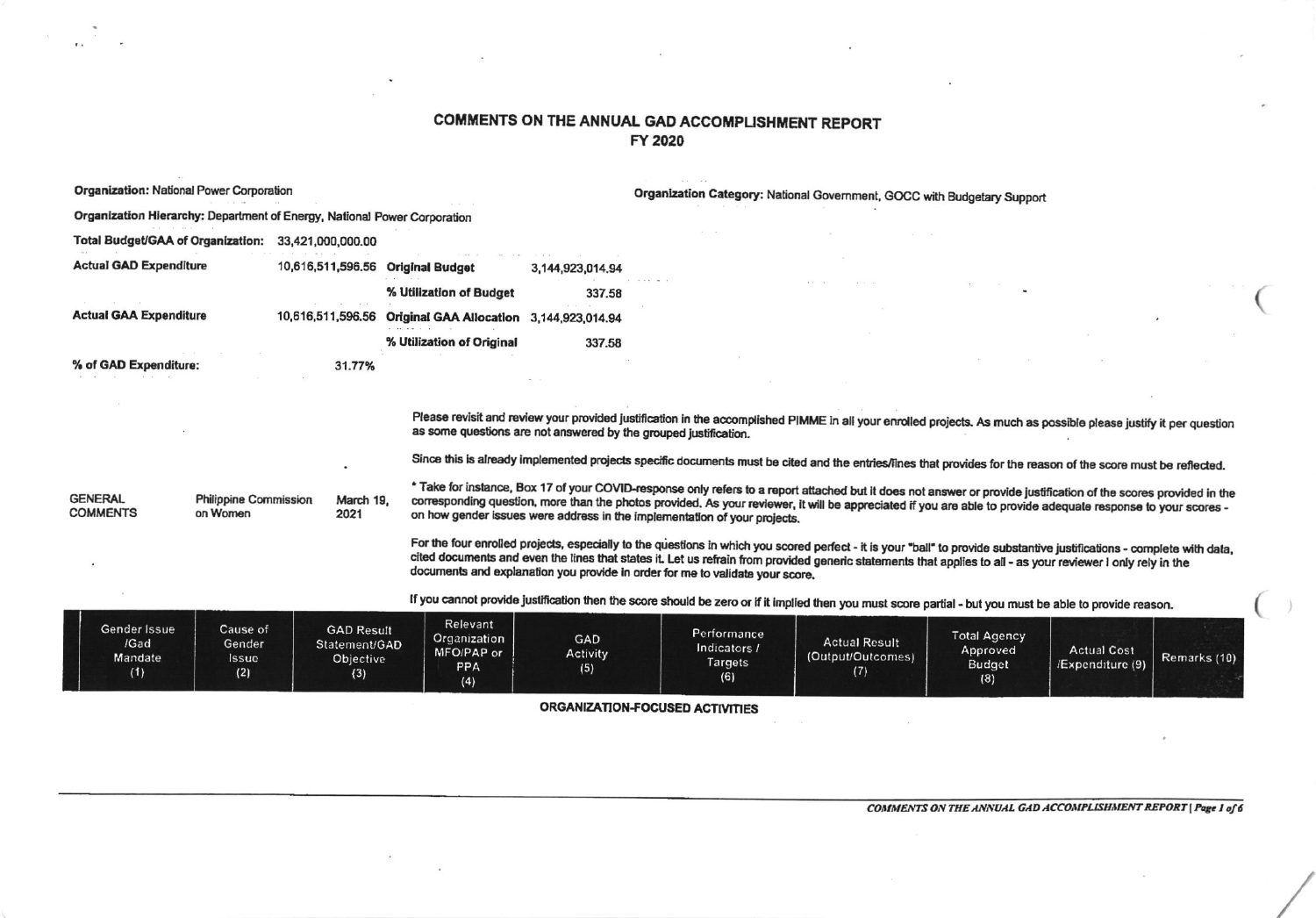## COMMENTS ON THE ANNUAL GAD ACCOMPLISHMENT REPORT FY 2020

 $\ddot{\phantom{0}}$ 

 $\sim$ 

 $\ddot{\phantom{1}}$ 

 $\sim$ 

| <b>Organization: National Power Corporation</b>                          |                                          |                                                        |                                                             |                                                                  | Organization Category: National Government, GOCC with Budgetary Support                                                                                                                                                                                                                                                                                                                                                  |                                                  |                                                  |                                       |              |  |
|--------------------------------------------------------------------------|------------------------------------------|--------------------------------------------------------|-------------------------------------------------------------|------------------------------------------------------------------|--------------------------------------------------------------------------------------------------------------------------------------------------------------------------------------------------------------------------------------------------------------------------------------------------------------------------------------------------------------------------------------------------------------------------|--------------------------------------------------|--------------------------------------------------|---------------------------------------|--------------|--|
| Organization Hierarchy: Department of Energy, National Power Corporation |                                          |                                                        |                                                             |                                                                  |                                                                                                                                                                                                                                                                                                                                                                                                                          |                                                  |                                                  |                                       |              |  |
| Total Budget/GAA of Organization: 33,421,000,000.00                      |                                          |                                                        |                                                             |                                                                  |                                                                                                                                                                                                                                                                                                                                                                                                                          |                                                  |                                                  |                                       |              |  |
| <b>Actual GAD Expenditure</b>                                            |                                          |                                                        | 10,616,511,596.56 Original Budget                           | 3,144,923,014.94                                                 |                                                                                                                                                                                                                                                                                                                                                                                                                          |                                                  |                                                  |                                       |              |  |
|                                                                          |                                          |                                                        | % Utilization of Budget                                     | 337.58                                                           |                                                                                                                                                                                                                                                                                                                                                                                                                          |                                                  |                                                  |                                       |              |  |
| <b>Actual GAA Expenditure</b>                                            |                                          |                                                        | 10,616,511,596.56 Original GAA Allocation 3,144,923,014.94  |                                                                  |                                                                                                                                                                                                                                                                                                                                                                                                                          |                                                  |                                                  |                                       |              |  |
|                                                                          |                                          |                                                        | % Utilization of Original                                   | 337.58                                                           |                                                                                                                                                                                                                                                                                                                                                                                                                          |                                                  |                                                  |                                       |              |  |
|                                                                          | % of GAD Expenditure:<br>31.77%          |                                                        |                                                             |                                                                  |                                                                                                                                                                                                                                                                                                                                                                                                                          |                                                  |                                                  |                                       |              |  |
|                                                                          |                                          |                                                        |                                                             |                                                                  |                                                                                                                                                                                                                                                                                                                                                                                                                          |                                                  |                                                  |                                       |              |  |
|                                                                          |                                          |                                                        |                                                             | as some questions are not answered by the grouped justification. | Please revisit and review your provided justification in the accomplished PIMME in all your enrolled projects. As much as possible please justify it per question                                                                                                                                                                                                                                                        |                                                  |                                                  |                                       |              |  |
|                                                                          |                                          |                                                        |                                                             |                                                                  | Since this is already implemented projects specific documents must be cited and the entries/lines that provides for the reason of the score must be reflected.                                                                                                                                                                                                                                                           |                                                  |                                                  |                                       |              |  |
| <b>GENERAL</b><br><b>COMMENTS</b>                                        | <b>Philippine Commission</b><br>on Women | March 19,<br>2021                                      |                                                             |                                                                  | * Take for instance, Box 17 of your COVID-response only refers to a report attached but it does not answer or provide justification of the scores provided in the<br>corresponding question, more than the photos provided. As your reviewer, it will be appreciated if you are able to provide adequate response to your scores -<br>on how gender issues were address in the implementation of your projects.          |                                                  |                                                  |                                       |              |  |
|                                                                          |                                          |                                                        |                                                             |                                                                  | For the four enrolled projects, especially to the questions in which you scored perfect - it is your "ball" to provide substantive justifications - complete with data,<br>cited documents and even the lines that states it. Let us refrain from provided generic statements that applies to all - as your reviewer I only rely in the<br>documents and explanation you provide in order for me to validate your score. |                                                  |                                                  |                                       |              |  |
|                                                                          |                                          |                                                        |                                                             |                                                                  | If you cannot provide justification then the score should be zero or if it implied then you must score partial - but you must be able to provide reason.                                                                                                                                                                                                                                                                 |                                                  |                                                  |                                       |              |  |
| Gender Issue<br>/Gad<br>Mandate<br>(1)                                   | Cause of<br>Gender<br>Issue<br>(2)       | <b>GAD Result</b><br>Statement/GAD<br>Objective<br>(3) | Relevant<br>Organization<br>MFO/PAP or<br><b>PPA</b><br>(4) | GAD<br>Activity<br>(5)                                           | Performance<br>Indicators /<br>Targets<br>(6)                                                                                                                                                                                                                                                                                                                                                                            | <b>Actual Result</b><br>(Output/Outcomes)<br>(7) | <b>Total Agency</b><br>Approved<br>Budget<br>(8) | <b>Actual Cost</b><br>Expenditure (9) | Remarks (10) |  |
|                                                                          |                                          |                                                        |                                                             | <b>ODO ANITATION FOOUSES</b>                                     |                                                                                                                                                                                                                                                                                                                                                                                                                          |                                                  |                                                  |                                       |              |  |

ORGANIZATION-FOCUSED ACTIVITIES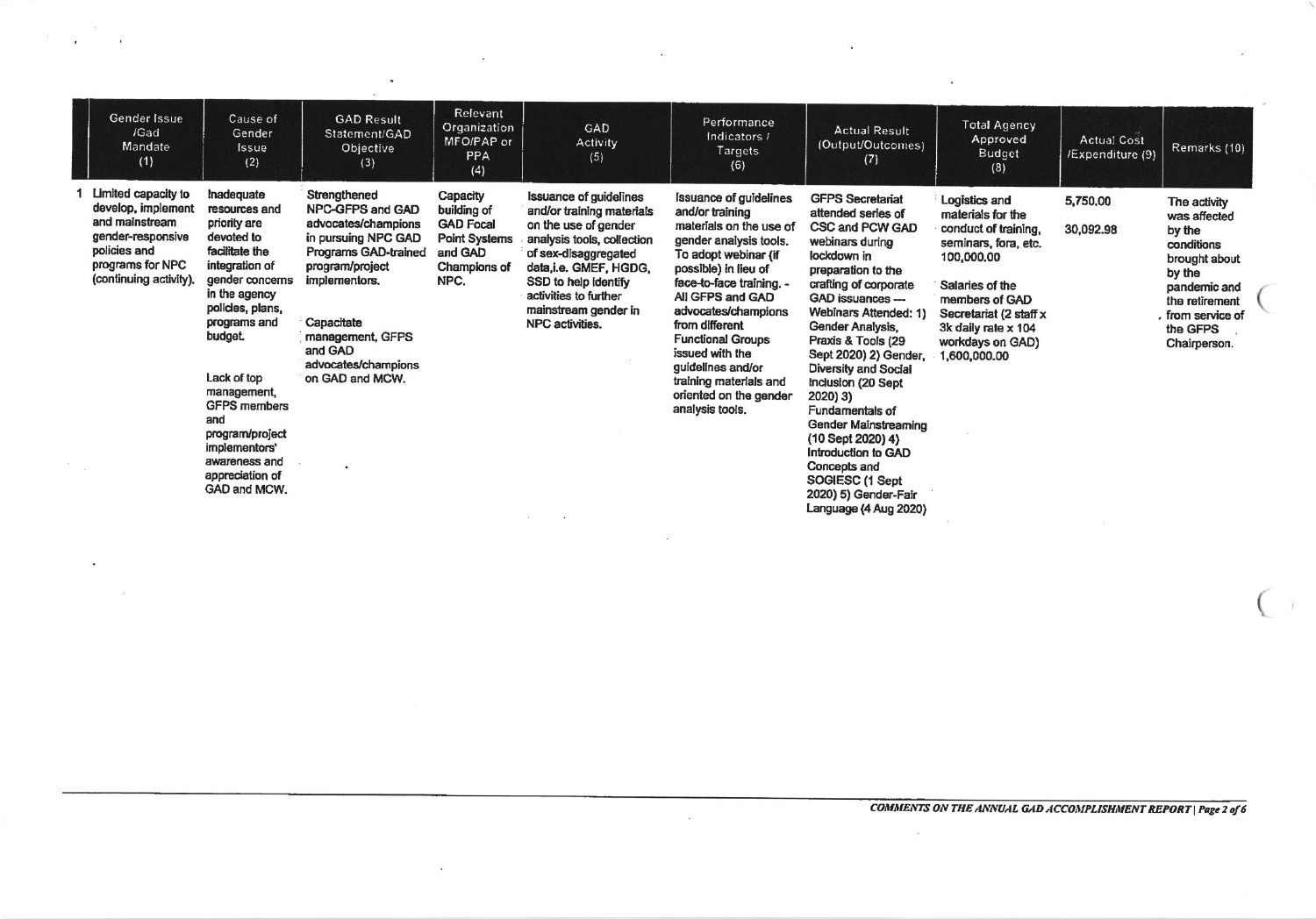| Gender Issue<br>/Gad<br>Mandate<br>(1)                                                                                                         | Cause of<br>Gender<br>Issue<br>(2)                                                                                                                                                                                                                                                                                                  | <b>GAD Result</b><br>Statement/GAD<br>Objective<br>(3)                                                                                                                                                                                        | Relevant<br>Organization<br>MFO/PAP or<br>PPA<br>(4)                                                   | GAD<br>Activity<br>(5)                                                                                                                                                                                                                                        | Performance<br>Indicators /<br>Targets<br>(6)                                                                                                                                                                                                                                                                                                                                             | <b>Actual Result</b><br>(Output/Outcomes)<br>(7)                                                                                                                                                                                                                                                                                                                                                                                                                                                        | <b>Total Agency</b><br>Approved<br><b>Budget</b><br>(8)                                                                                                                                                                    | <b>Actual Cost</b><br>/Expenditure (9) | Remarks (10)                                                                                                                                                       |
|------------------------------------------------------------------------------------------------------------------------------------------------|-------------------------------------------------------------------------------------------------------------------------------------------------------------------------------------------------------------------------------------------------------------------------------------------------------------------------------------|-----------------------------------------------------------------------------------------------------------------------------------------------------------------------------------------------------------------------------------------------|--------------------------------------------------------------------------------------------------------|---------------------------------------------------------------------------------------------------------------------------------------------------------------------------------------------------------------------------------------------------------------|-------------------------------------------------------------------------------------------------------------------------------------------------------------------------------------------------------------------------------------------------------------------------------------------------------------------------------------------------------------------------------------------|---------------------------------------------------------------------------------------------------------------------------------------------------------------------------------------------------------------------------------------------------------------------------------------------------------------------------------------------------------------------------------------------------------------------------------------------------------------------------------------------------------|----------------------------------------------------------------------------------------------------------------------------------------------------------------------------------------------------------------------------|----------------------------------------|--------------------------------------------------------------------------------------------------------------------------------------------------------------------|
| Limited capacity to<br>develop, implement<br>and mainstream<br>gender-responsive<br>policies and<br>programs for NPC<br>(continuing activity). | Inadequate<br>resources and<br>priority are<br>devoted to<br>facilitate the<br>integration of<br>gender concerns<br>in the agency<br>policies, plans,<br>programs and<br>budget<br>Lack of top<br>management,<br><b>GFPS members</b><br>and<br>program/project<br>implementors'<br>awareness and<br>appreciation of<br>GAD and MCW. | Strengthened<br><b>NPC-GFPS and GAD</b><br>advocates/champions<br>in pursuing NPC GAD<br>Programs GAD-trained<br>program/project<br>implementors.<br>Capacitate<br>management, GFPS<br>and GAD<br>advocates/champions<br>on GAD and MCW.<br>٠ | Capacity<br>building of<br><b>GAD Focal</b><br><b>Point Systems</b><br>and GAD<br>Champions of<br>NPC. | <b>Issuance of guidelines</b><br>and/or training materials<br>on the use of gender<br>analysis tools, collection<br>of sex-disaggregated<br>data,i.e. GMEF, HGDG,<br>SSD to help identify<br>activities to further<br>mainstream gender in<br>NPC activities. | <b>Issuance of guidelines</b><br>and/or training<br>materials on the use of<br>gender analysis tools.<br>To adopt webinar (if<br>possible) in lieu of<br>face-to-face training. -<br>All GFPS and GAD<br>advocates/champions<br>from different<br><b>Functional Groups</b><br>issued with the<br>guidelines and/or<br>training materials and<br>oriented on the gender<br>analysis tools. | <b>GFPS Secretariat</b><br>attended series of<br>CSC and PCW GAD<br>webinars during<br>lockdown in<br>preparation to the<br>crafting of corporate<br>GAD issuances ---<br>Webinars Attended: 1)<br>Gender Analysis,<br>Praxis & Tools (29<br>Sept 2020) 2) Gender,<br>Diversity and Social<br>Inclusion (20 Sept<br>2020) 3)<br>Fundamentals of<br>Gender Mainstreaming<br>(10 Sept 2020) 4)<br>Introduction to GAD<br>Concepts and<br>SOGIESC (1 Sept<br>2020) 5) Gender-Fair<br>Language (4 Aug 2020) | Logistics and<br>materials for the<br>conduct of training.<br>seminars, fora, etc.<br>100,000,00<br>Salaries of the<br>members of GAD<br>Secretariat (2 staff x<br>3k daily rate x 104<br>workdays on GAD)<br>1,600,000.00 | 5,750.00<br>30,092.98                  | The activity<br>was affected<br>by the<br>conditions<br>brought about<br>by the<br>pandemic and<br>the retirement<br>, from service of<br>the GFPS<br>Chairperson. |

 $\sim$ 

 $\mathbf{e}$ 

 $\mathcal{A}$ 

 $\alpha$